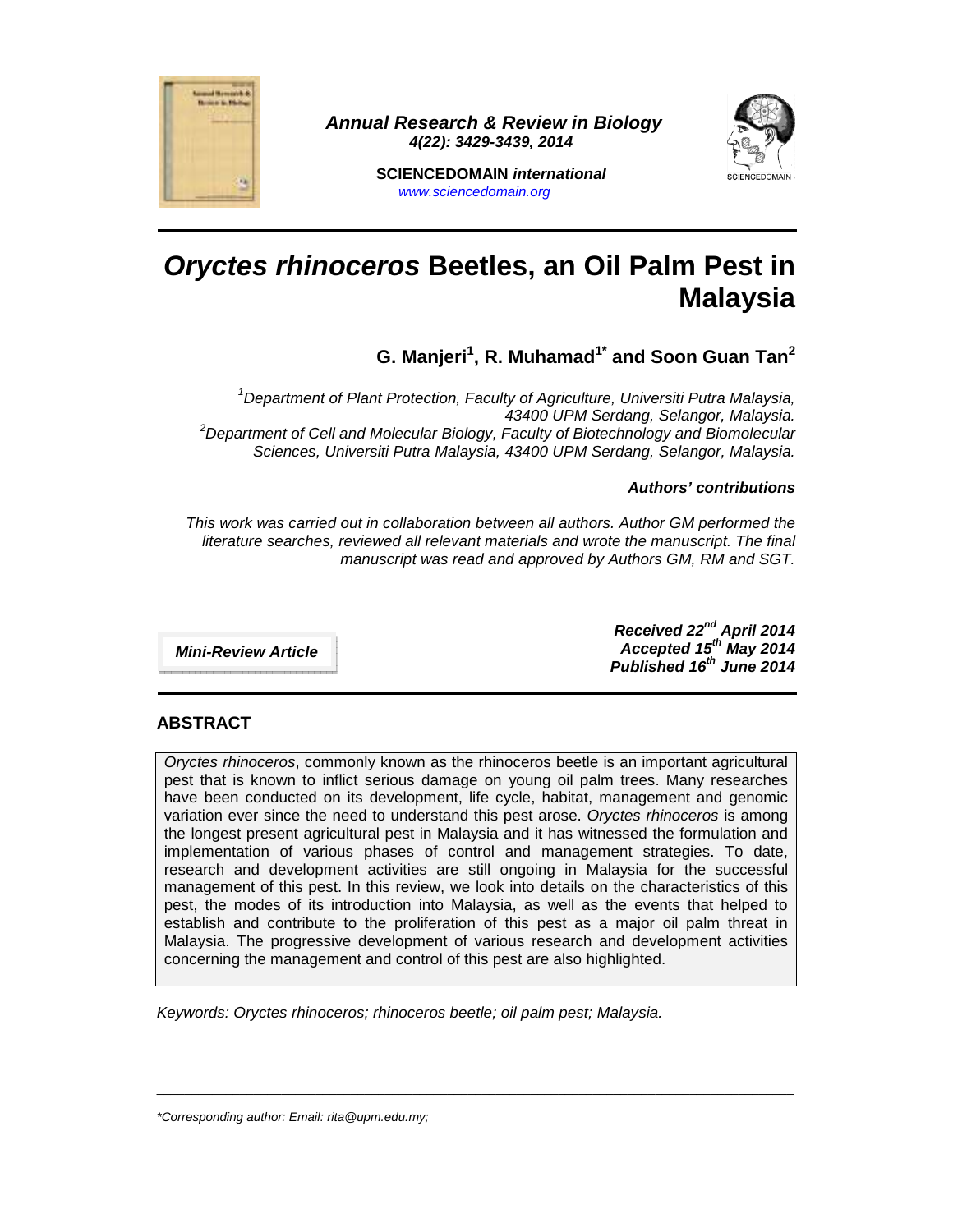

 **Annual Research & Review in Biology 4(22): 3429-3439, 2014** 



**SCIENCEDOMAIN international**  www.sciencedomain.org

# **Oryctes rhinoceros Beetles, an Oil Palm Pest in Malaysia**

**G. Manjeri<sup>1</sup> , R. Muhamad1\* and Soon Guan Tan<sup>2</sup>**

<sup>1</sup>Department of Plant Protection, Faculty of Agriculture, Universiti Putra Malaysia, 43400 UPM Serdang, Selangor, Malaysia.  $2$ Department of Cell and Molecular Biology, Faculty of Biotechnology and Biomolecular Sciences, Universiti Putra Malaysia, 43400 UPM Serdang, Selangor, Malaysia.

#### **Authors' contributions**

This work was carried out in collaboration between all authors. Author GM performed the literature searches, reviewed all relevant materials and wrote the manuscript. The final manuscript was read and approved by Authors GM, RM and SGT.

**Mini-Review Article** 

**Received 22nd April 2014 Accepted 15th May 2014 Published 16th June 2014**

# **ABSTRACT**

Oryctes rhinoceros, commonly known as the rhinoceros beetle is an important agricultural pest that is known to inflict serious damage on young oil palm trees. Many researches have been conducted on its development, life cycle, habitat, management and genomic variation ever since the need to understand this pest arose. Oryctes rhinoceros is among the longest present agricultural pest in Malaysia and it has witnessed the formulation and implementation of various phases of control and management strategies. To date, research and development activities are still ongoing in Malaysia for the successful management of this pest. In this review, we look into details on the characteristics of this pest, the modes of its introduction into Malaysia, as well as the events that helped to establish and contribute to the proliferation of this pest as a major oil palm threat in Malaysia. The progressive development of various research and development activities concerning the management and control of this pest are also highlighted.

 $\_$  , and the set of the set of the set of the set of the set of the set of the set of the set of the set of the set of the set of the set of the set of the set of the set of the set of the set of the set of the set of th

Keywords: Oryctes rhinoceros; rhinoceros beetle; oil palm pest; Malaysia.

\*Corresponding author: Email: rita@upm.edu.my;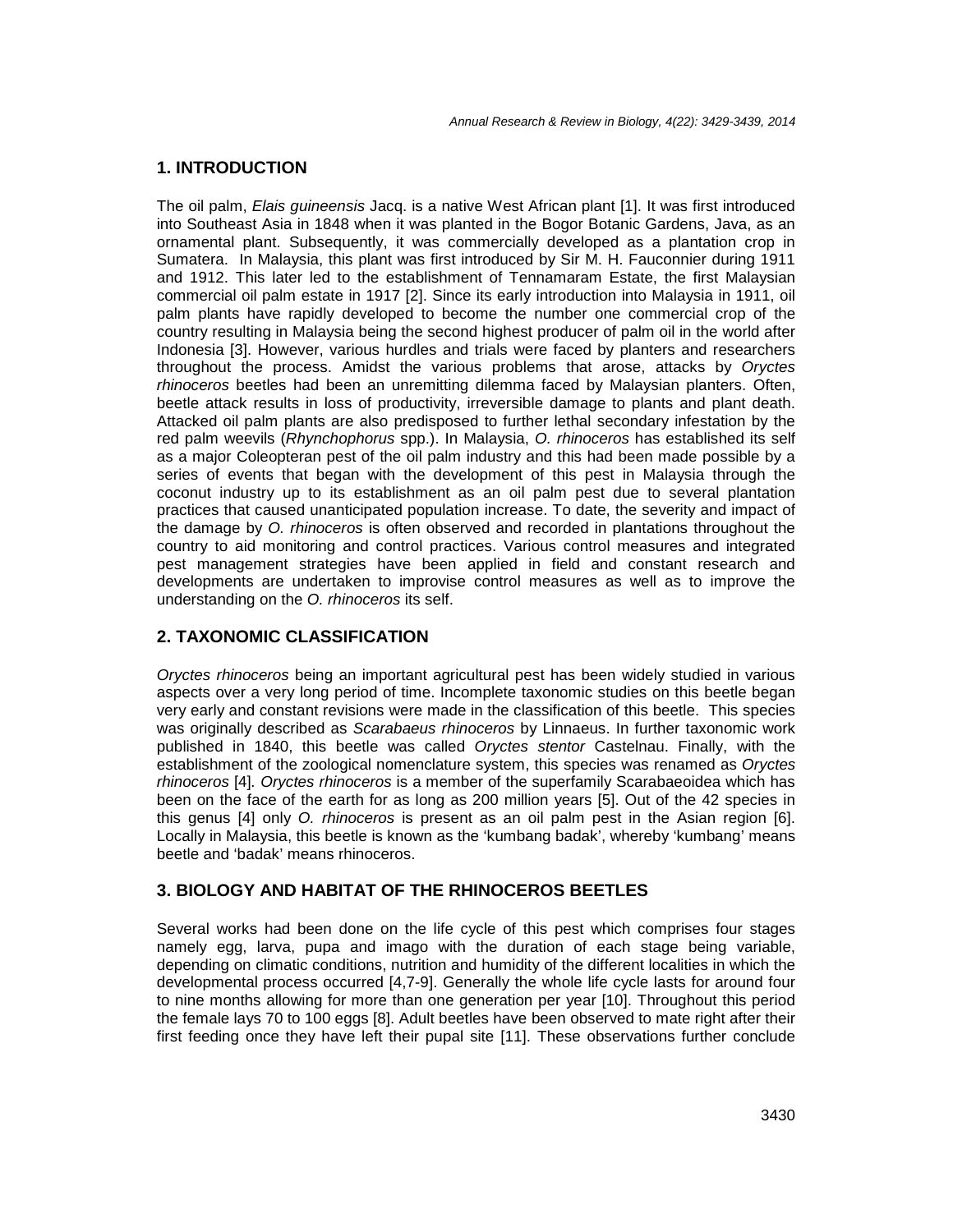## **1. INTRODUCTION**

The oil palm, Elais guineensis Jacq. is a native West African plant [1]. It was first introduced into Southeast Asia in 1848 when it was planted in the Bogor Botanic Gardens, Java, as an ornamental plant. Subsequently, it was commercially developed as a plantation crop in Sumatera. In Malaysia, this plant was first introduced by Sir M. H. Fauconnier during 1911 and 1912. This later led to the establishment of Tennamaram Estate, the first Malaysian commercial oil palm estate in 1917 [2]. Since its early introduction into Malaysia in 1911, oil palm plants have rapidly developed to become the number one commercial crop of the country resulting in Malaysia being the second highest producer of palm oil in the world after Indonesia [3]. However, various hurdles and trials were faced by planters and researchers throughout the process. Amidst the various problems that arose, attacks by Oryctes rhinoceros beetles had been an unremitting dilemma faced by Malaysian planters. Often, beetle attack results in loss of productivity, irreversible damage to plants and plant death. Attacked oil palm plants are also predisposed to further lethal secondary infestation by the red palm weevils (Rhynchophorus spp.). In Malaysia, O. rhinoceros has established its self as a major Coleopteran pest of the oil palm industry and this had been made possible by a series of events that began with the development of this pest in Malaysia through the coconut industry up to its establishment as an oil palm pest due to several plantation practices that caused unanticipated population increase. To date, the severity and impact of the damage by O. rhinoceros is often observed and recorded in plantations throughout the country to aid monitoring and control practices. Various control measures and integrated pest management strategies have been applied in field and constant research and developments are undertaken to improvise control measures as well as to improve the understanding on the O. rhinoceros its self.

# **2. TAXONOMIC CLASSIFICATION**

Oryctes rhinoceros being an important agricultural pest has been widely studied in various aspects over a very long period of time. Incomplete taxonomic studies on this beetle began very early and constant revisions were made in the classification of this beetle. This species was originally described as Scarabaeus rhinoceros by Linnaeus. In further taxonomic work published in 1840, this beetle was called Oryctes stentor Castelnau. Finally, with the establishment of the zoological nomenclature system, this species was renamed as Oryctes rhinoceros [4]. Oryctes rhinoceros is a member of the superfamily Scarabaeoidea which has been on the face of the earth for as long as 200 million years [5]. Out of the 42 species in this genus [4] only O. rhinoceros is present as an oil palm pest in the Asian region [6]. Locally in Malaysia, this beetle is known as the 'kumbang badak', whereby 'kumbang' means beetle and 'badak' means rhinoceros.

## **3. BIOLOGY AND HABITAT OF THE RHINOCEROS BEETLES**

Several works had been done on the life cycle of this pest which comprises four stages namely egg, larva, pupa and imago with the duration of each stage being variable, depending on climatic conditions, nutrition and humidity of the different localities in which the developmental process occurred [4,7-9]. Generally the whole life cycle lasts for around four to nine months allowing for more than one generation per year [10]. Throughout this period the female lays 70 to 100 eggs [8]. Adult beetles have been observed to mate right after their first feeding once they have left their pupal site [11]. These observations further conclude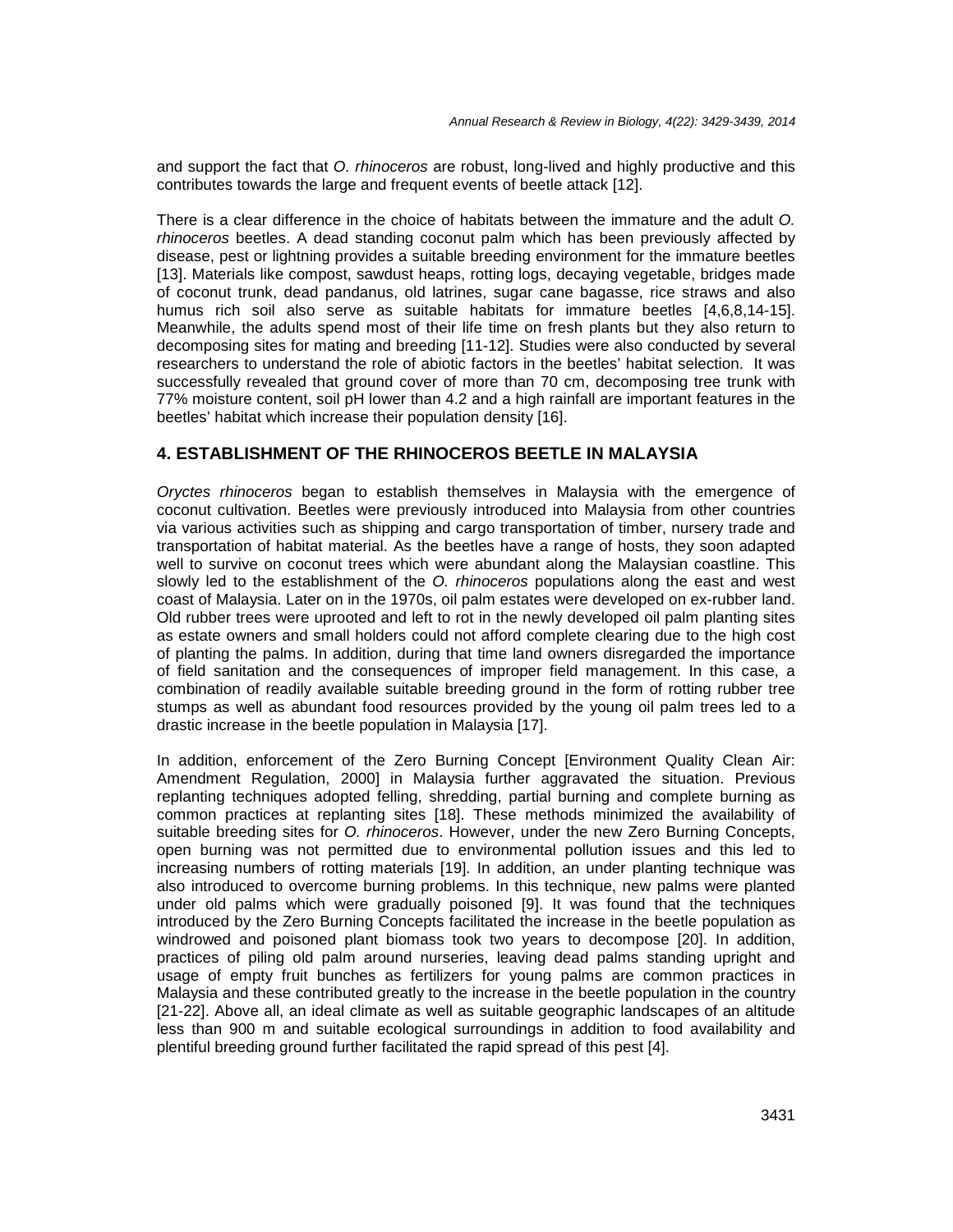and support the fact that O. rhinoceros are robust, long-lived and highly productive and this contributes towards the large and frequent events of beetle attack [12].

There is a clear difference in the choice of habitats between the immature and the adult O. rhinoceros beetles. A dead standing coconut palm which has been previously affected by disease, pest or lightning provides a suitable breeding environment for the immature beetles [13]. Materials like compost, sawdust heaps, rotting logs, decaying vegetable, bridges made of coconut trunk, dead pandanus, old latrines, sugar cane bagasse, rice straws and also humus rich soil also serve as suitable habitats for immature beetles [4,6,8,14-15]. Meanwhile, the adults spend most of their life time on fresh plants but they also return to decomposing sites for mating and breeding [11-12]. Studies were also conducted by several researchers to understand the role of abiotic factors in the beetles' habitat selection. It was successfully revealed that ground cover of more than 70 cm, decomposing tree trunk with 77% moisture content, soil pH lower than 4.2 and a high rainfall are important features in the beetles' habitat which increase their population density [16].

## **4. ESTABLISHMENT OF THE RHINOCEROS BEETLE IN MALAYSIA**

Oryctes rhinoceros began to establish themselves in Malaysia with the emergence of coconut cultivation. Beetles were previously introduced into Malaysia from other countries via various activities such as shipping and cargo transportation of timber, nursery trade and transportation of habitat material. As the beetles have a range of hosts, they soon adapted well to survive on coconut trees which were abundant along the Malaysian coastline. This slowly led to the establishment of the O. rhinoceros populations along the east and west coast of Malaysia. Later on in the 1970s, oil palm estates were developed on ex-rubber land. Old rubber trees were uprooted and left to rot in the newly developed oil palm planting sites as estate owners and small holders could not afford complete clearing due to the high cost of planting the palms. In addition, during that time land owners disregarded the importance of field sanitation and the consequences of improper field management. In this case, a combination of readily available suitable breeding ground in the form of rotting rubber tree stumps as well as abundant food resources provided by the young oil palm trees led to a drastic increase in the beetle population in Malaysia [17].

In addition, enforcement of the Zero Burning Concept [Environment Quality Clean Air: Amendment Regulation, 2000] in Malaysia further aggravated the situation. Previous replanting techniques adopted felling, shredding, partial burning and complete burning as common practices at replanting sites [18]. These methods minimized the availability of suitable breeding sites for O. rhinoceros. However, under the new Zero Burning Concepts, open burning was not permitted due to environmental pollution issues and this led to increasing numbers of rotting materials [19]. In addition, an under planting technique was also introduced to overcome burning problems. In this technique, new palms were planted under old palms which were gradually poisoned [9]. It was found that the techniques introduced by the Zero Burning Concepts facilitated the increase in the beetle population as windrowed and poisoned plant biomass took two years to decompose [20]. In addition, practices of piling old palm around nurseries, leaving dead palms standing upright and usage of empty fruit bunches as fertilizers for young palms are common practices in Malaysia and these contributed greatly to the increase in the beetle population in the country [21-22]. Above all, an ideal climate as well as suitable geographic landscapes of an altitude less than 900 m and suitable ecological surroundings in addition to food availability and plentiful breeding ground further facilitated the rapid spread of this pest [4].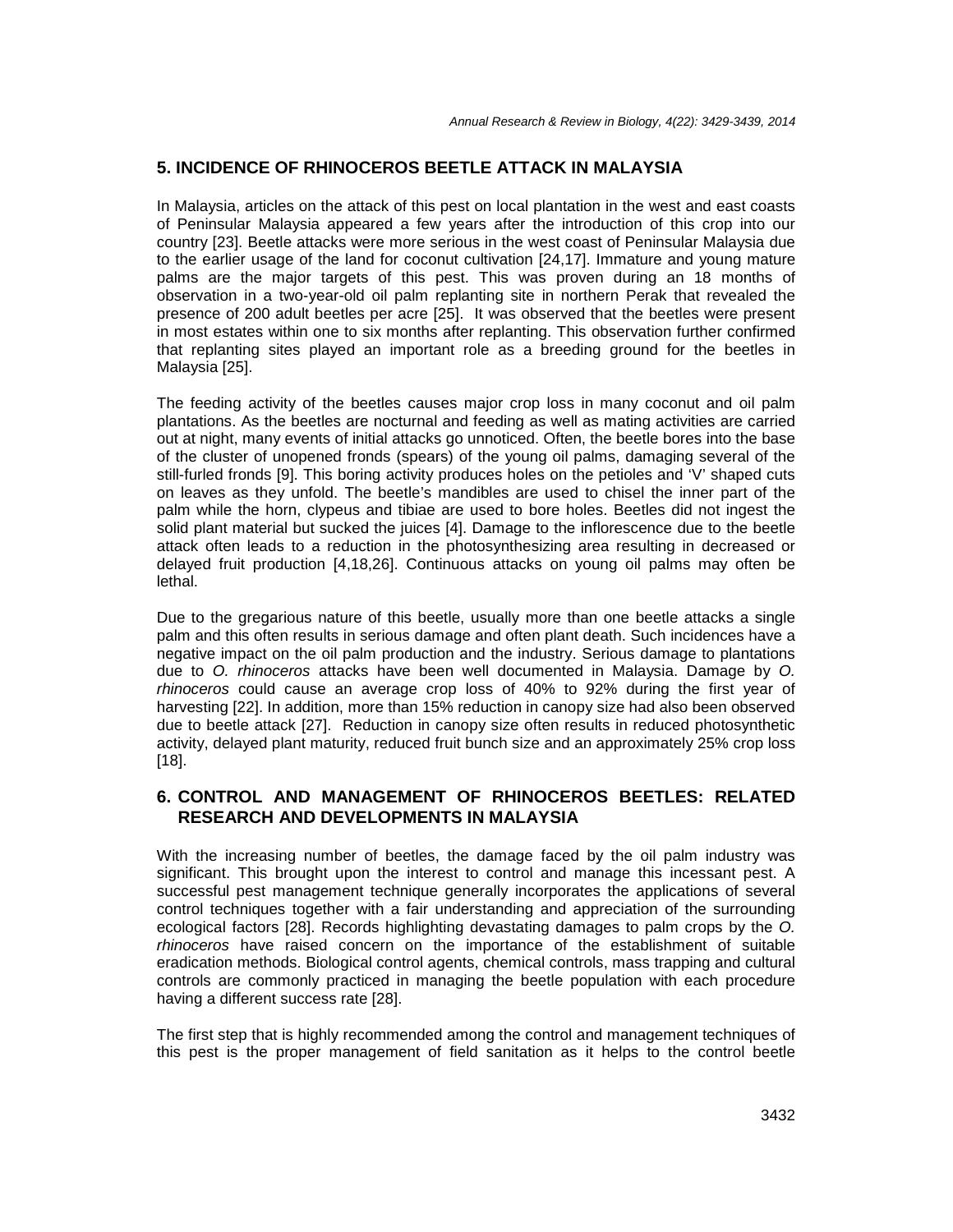## **5. INCIDENCE OF RHINOCEROS BEETLE ATTACK IN MALAYSIA**

In Malaysia, articles on the attack of this pest on local plantation in the west and east coasts of Peninsular Malaysia appeared a few years after the introduction of this crop into our country [23]. Beetle attacks were more serious in the west coast of Peninsular Malaysia due to the earlier usage of the land for coconut cultivation [24,17]. Immature and young mature palms are the major targets of this pest. This was proven during an 18 months of observation in a two-year-old oil palm replanting site in northern Perak that revealed the presence of 200 adult beetles per acre [25]. It was observed that the beetles were present in most estates within one to six months after replanting. This observation further confirmed that replanting sites played an important role as a breeding ground for the beetles in Malaysia [25].

The feeding activity of the beetles causes major crop loss in many coconut and oil palm plantations. As the beetles are nocturnal and feeding as well as mating activities are carried out at night, many events of initial attacks go unnoticed. Often, the beetle bores into the base of the cluster of unopened fronds (spears) of the young oil palms, damaging several of the still-furled fronds [9]. This boring activity produces holes on the petioles and 'V' shaped cuts on leaves as they unfold. The beetle's mandibles are used to chisel the inner part of the palm while the horn, clypeus and tibiae are used to bore holes. Beetles did not ingest the solid plant material but sucked the juices [4]. Damage to the inflorescence due to the beetle attack often leads to a reduction in the photosynthesizing area resulting in decreased or delayed fruit production [4,18,26]. Continuous attacks on young oil palms may often be lethal.

Due to the gregarious nature of this beetle, usually more than one beetle attacks a single palm and this often results in serious damage and often plant death. Such incidences have a negative impact on the oil palm production and the industry. Serious damage to plantations due to O. rhinoceros attacks have been well documented in Malaysia. Damage by O. rhinoceros could cause an average crop loss of 40% to 92% during the first year of harvesting [22]. In addition, more than 15% reduction in canopy size had also been observed due to beetle attack [27]. Reduction in canopy size often results in reduced photosynthetic activity, delayed plant maturity, reduced fruit bunch size and an approximately 25% crop loss [18].

## **6. CONTROL AND MANAGEMENT OF RHINOCEROS BEETLES: RELATED RESEARCH AND DEVELOPMENTS IN MALAYSIA**

With the increasing number of beetles, the damage faced by the oil palm industry was significant. This brought upon the interest to control and manage this incessant pest. A successful pest management technique generally incorporates the applications of several control techniques together with a fair understanding and appreciation of the surrounding ecological factors [28]. Records highlighting devastating damages to palm crops by the O. rhinoceros have raised concern on the importance of the establishment of suitable eradication methods. Biological control agents, chemical controls, mass trapping and cultural controls are commonly practiced in managing the beetle population with each procedure having a different success rate [28].

The first step that is highly recommended among the control and management techniques of this pest is the proper management of field sanitation as it helps to the control beetle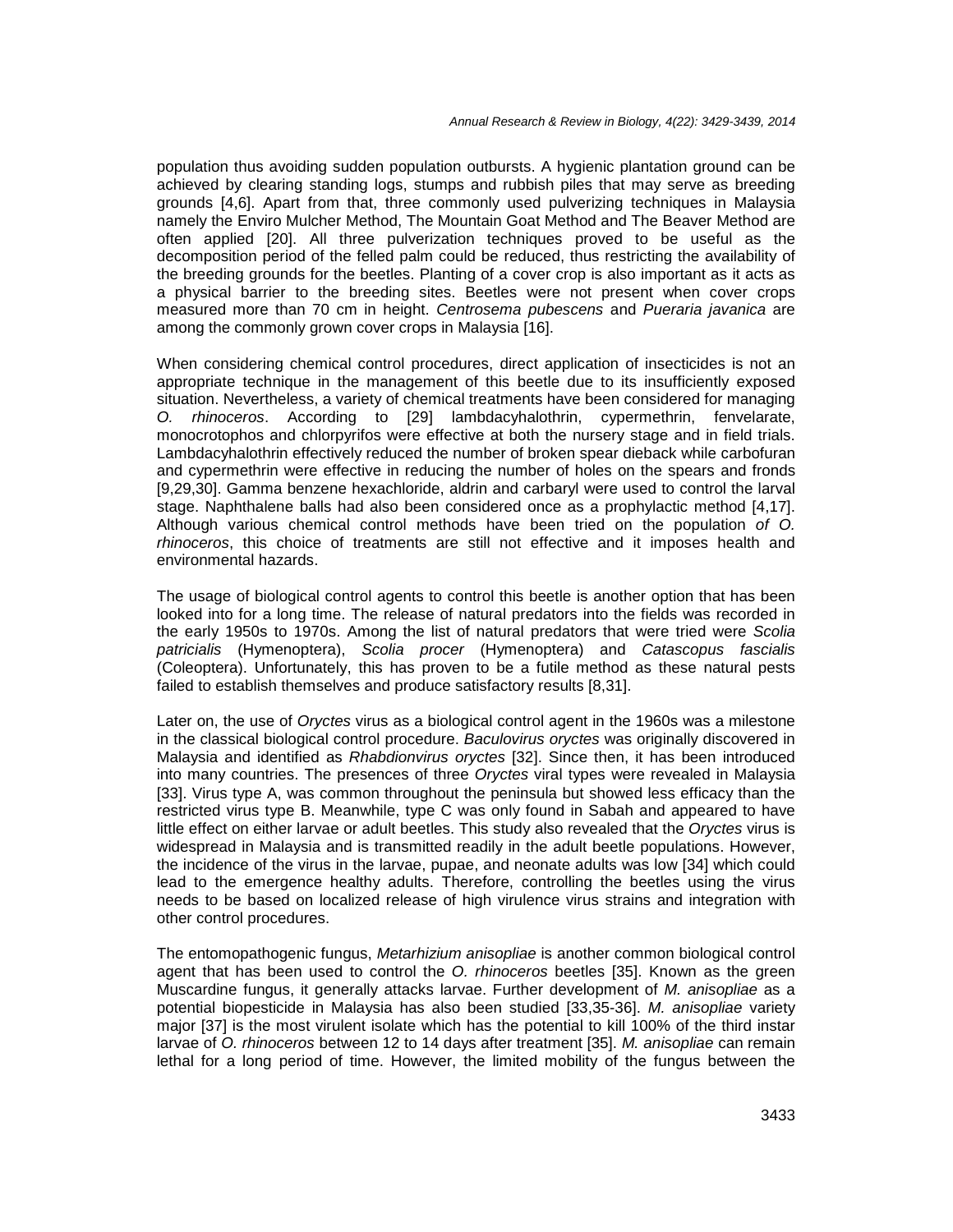population thus avoiding sudden population outbursts. A hygienic plantation ground can be achieved by clearing standing logs, stumps and rubbish piles that may serve as breeding grounds [4,6]. Apart from that, three commonly used pulverizing techniques in Malaysia namely the Enviro Mulcher Method, The Mountain Goat Method and The Beaver Method are often applied [20]. All three pulverization techniques proved to be useful as the decomposition period of the felled palm could be reduced, thus restricting the availability of the breeding grounds for the beetles. Planting of a cover crop is also important as it acts as a physical barrier to the breeding sites. Beetles were not present when cover crops measured more than 70 cm in height. Centrosema pubescens and Pueraria javanica are among the commonly grown cover crops in Malaysia [16].

When considering chemical control procedures, direct application of insecticides is not an appropriate technique in the management of this beetle due to its insufficiently exposed situation. Nevertheless, a variety of chemical treatments have been considered for managing O. rhinoceros. According to [29] lambdacyhalothrin, cypermethrin, fenvelarate, monocrotophos and chlorpyrifos were effective at both the nursery stage and in field trials. Lambdacyhalothrin effectively reduced the number of broken spear dieback while carbofuran and cypermethrin were effective in reducing the number of holes on the spears and fronds [9,29,30]. Gamma benzene hexachloride, aldrin and carbaryl were used to control the larval stage. Naphthalene balls had also been considered once as a prophylactic method [4,17]. Although various chemical control methods have been tried on the population of O. rhinoceros, this choice of treatments are still not effective and it imposes health and environmental hazards.

The usage of biological control agents to control this beetle is another option that has been looked into for a long time. The release of natural predators into the fields was recorded in the early 1950s to 1970s. Among the list of natural predators that were tried were Scolia patricialis (Hymenoptera), Scolia procer (Hymenoptera) and Catascopus fascialis (Coleoptera). Unfortunately, this has proven to be a futile method as these natural pests failed to establish themselves and produce satisfactory results [8,31].

Later on, the use of *Oryctes* virus as a biological control agent in the 1960s was a milestone in the classical biological control procedure. Baculovirus oryctes was originally discovered in Malaysia and identified as Rhabdionvirus oryctes [32]. Since then, it has been introduced into many countries. The presences of three Oryctes viral types were revealed in Malaysia [33]. Virus type A, was common throughout the peninsula but showed less efficacy than the restricted virus type B. Meanwhile, type C was only found in Sabah and appeared to have little effect on either larvae or adult beetles. This study also revealed that the Oryctes virus is widespread in Malaysia and is transmitted readily in the adult beetle populations. However, the incidence of the virus in the larvae, pupae, and neonate adults was low [34] which could lead to the emergence healthy adults. Therefore, controlling the beetles using the virus needs to be based on localized release of high virulence virus strains and integration with other control procedures.

The entomopathogenic fungus, Metarhizium anisopliae is another common biological control agent that has been used to control the O. rhinoceros beetles [35]. Known as the green Muscardine fungus, it generally attacks larvae. Further development of M. anisopliae as a potential biopesticide in Malaysia has also been studied [33,35-36]. M. anisopliae variety major [37] is the most virulent isolate which has the potential to kill 100% of the third instar larvae of O. rhinoceros between 12 to 14 days after treatment [35]. M. anisopliae can remain lethal for a long period of time. However, the limited mobility of the fungus between the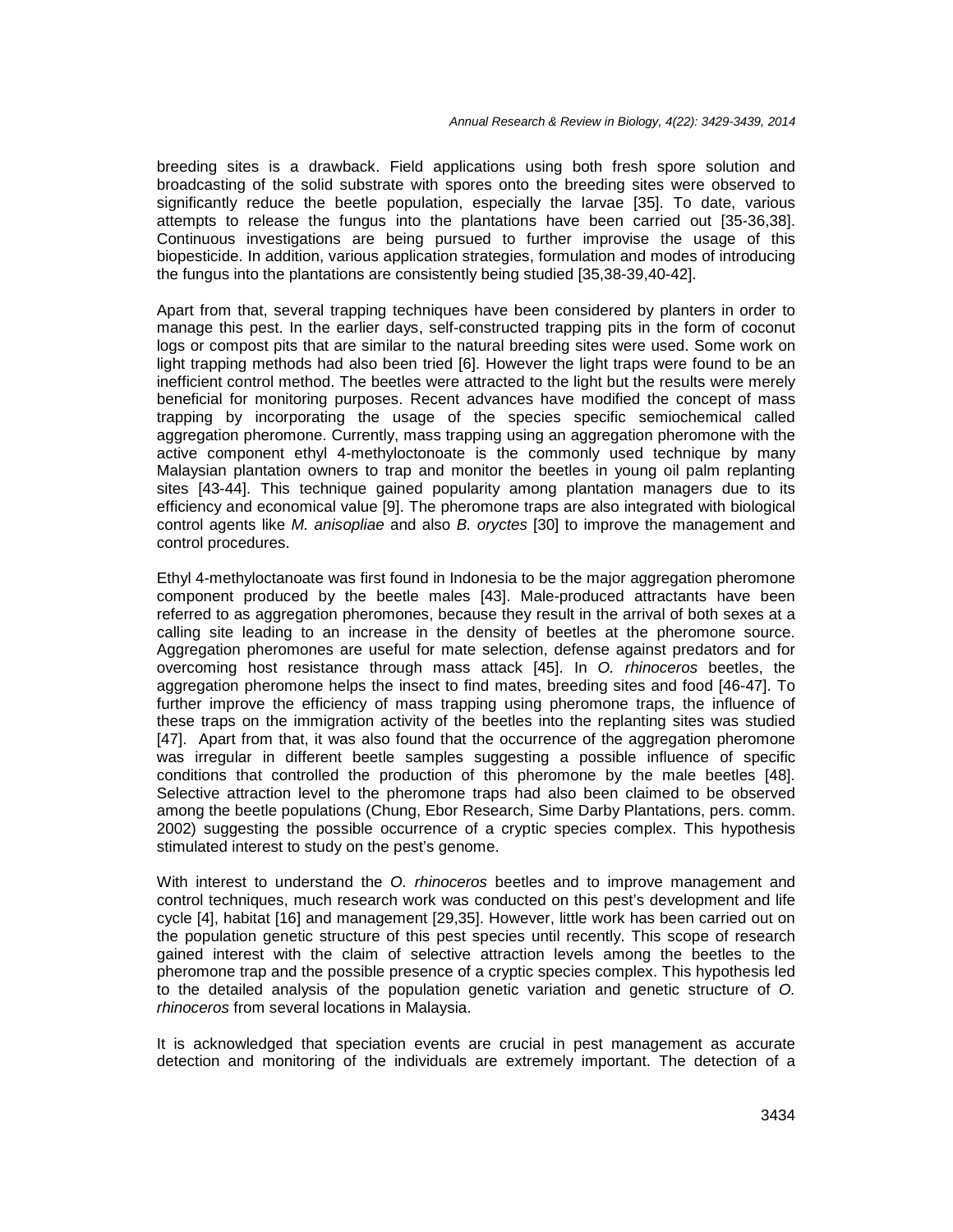breeding sites is a drawback. Field applications using both fresh spore solution and broadcasting of the solid substrate with spores onto the breeding sites were observed to significantly reduce the beetle population, especially the larvae [35]. To date, various attempts to release the fungus into the plantations have been carried out [35-36,38]. Continuous investigations are being pursued to further improvise the usage of this biopesticide. In addition, various application strategies, formulation and modes of introducing the fungus into the plantations are consistently being studied [35,38-39,40-42].

Apart from that, several trapping techniques have been considered by planters in order to manage this pest. In the earlier days, self-constructed trapping pits in the form of coconut logs or compost pits that are similar to the natural breeding sites were used. Some work on light trapping methods had also been tried [6]. However the light traps were found to be an inefficient control method. The beetles were attracted to the light but the results were merely beneficial for monitoring purposes. Recent advances have modified the concept of mass trapping by incorporating the usage of the species specific semiochemical called aggregation pheromone. Currently, mass trapping using an aggregation pheromone with the active component ethyl 4-methyloctonoate is the commonly used technique by many Malaysian plantation owners to trap and monitor the beetles in young oil palm replanting sites [43-44]. This technique gained popularity among plantation managers due to its efficiency and economical value [9]. The pheromone traps are also integrated with biological control agents like M. anisopliae and also B. oryctes [30] to improve the management and control procedures.

Ethyl 4-methyloctanoate was first found in Indonesia to be the major aggregation pheromone component produced by the beetle males [43]. Male-produced attractants have been referred to as aggregation pheromones, because they result in the arrival of both sexes at a calling site leading to an increase in the density of beetles at the pheromone source. Aggregation pheromones are useful for mate selection, defense against predators and for overcoming host resistance through mass attack [45]. In O. rhinoceros beetles, the aggregation pheromone helps the insect to find mates, breeding sites and food [46-47]. To further improve the efficiency of mass trapping using pheromone traps, the influence of these traps on the immigration activity of the beetles into the replanting sites was studied [47]. Apart from that, it was also found that the occurrence of the aggregation pheromone was irregular in different beetle samples suggesting a possible influence of specific conditions that controlled the production of this pheromone by the male beetles [48]. Selective attraction level to the pheromone traps had also been claimed to be observed among the beetle populations (Chung, Ebor Research, Sime Darby Plantations, pers. comm. 2002) suggesting the possible occurrence of a cryptic species complex. This hypothesis stimulated interest to study on the pest's genome.

With interest to understand the O. rhinoceros beetles and to improve management and control techniques, much research work was conducted on this pest's development and life cycle [4], habitat [16] and management [29,35]. However, little work has been carried out on the population genetic structure of this pest species until recently. This scope of research gained interest with the claim of selective attraction levels among the beetles to the pheromone trap and the possible presence of a cryptic species complex. This hypothesis led to the detailed analysis of the population genetic variation and genetic structure of O. rhinoceros from several locations in Malaysia.

It is acknowledged that speciation events are crucial in pest management as accurate detection and monitoring of the individuals are extremely important. The detection of a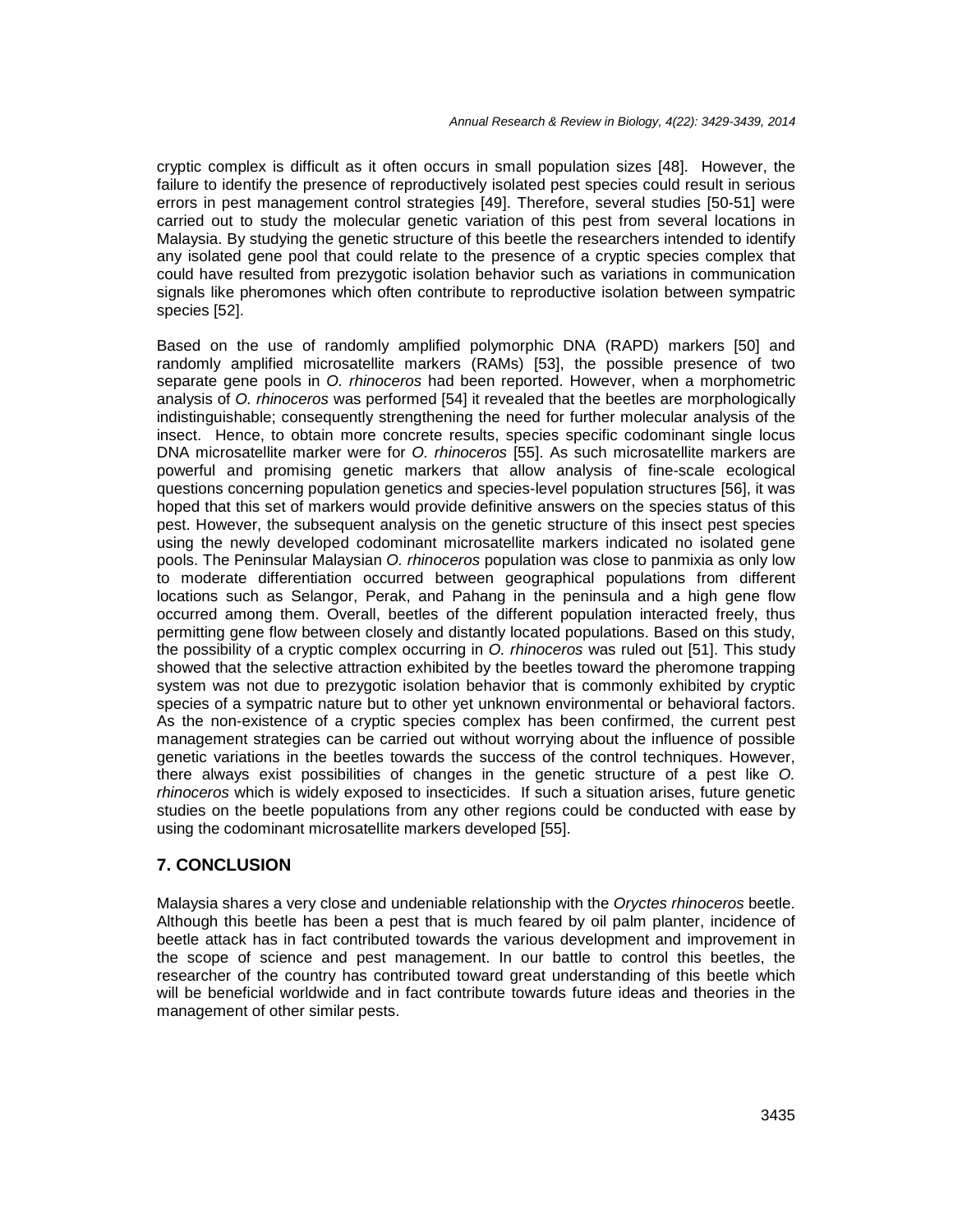cryptic complex is difficult as it often occurs in small population sizes [48]. However, the failure to identify the presence of reproductively isolated pest species could result in serious errors in pest management control strategies [49]. Therefore, several studies [50-51] were carried out to study the molecular genetic variation of this pest from several locations in Malaysia. By studying the genetic structure of this beetle the researchers intended to identify any isolated gene pool that could relate to the presence of a cryptic species complex that could have resulted from prezygotic isolation behavior such as variations in communication signals like pheromones which often contribute to reproductive isolation between sympatric species [52].

Based on the use of randomly amplified polymorphic DNA (RAPD) markers [50] and randomly amplified microsatellite markers (RAMs) [53], the possible presence of two separate gene pools in O. rhinoceros had been reported. However, when a morphometric analysis of O. rhinoceros was performed [54] it revealed that the beetles are morphologically indistinguishable; consequently strengthening the need for further molecular analysis of the insect. Hence, to obtain more concrete results, species specific codominant single locus DNA microsatellite marker were for O. rhinoceros [55]. As such microsatellite markers are powerful and promising genetic markers that allow analysis of fine-scale ecological questions concerning population genetics and species-level population structures [56], it was hoped that this set of markers would provide definitive answers on the species status of this pest. However, the subsequent analysis on the genetic structure of this insect pest species using the newly developed codominant microsatellite markers indicated no isolated gene pools. The Peninsular Malaysian O. rhinoceros population was close to panmixia as only low to moderate differentiation occurred between geographical populations from different locations such as Selangor, Perak, and Pahang in the peninsula and a high gene flow occurred among them. Overall, beetles of the different population interacted freely, thus permitting gene flow between closely and distantly located populations. Based on this study, the possibility of a cryptic complex occurring in O. rhinoceros was ruled out [51]. This study showed that the selective attraction exhibited by the beetles toward the pheromone trapping system was not due to prezygotic isolation behavior that is commonly exhibited by cryptic species of a sympatric nature but to other yet unknown environmental or behavioral factors. As the non-existence of a cryptic species complex has been confirmed, the current pest management strategies can be carried out without worrying about the influence of possible genetic variations in the beetles towards the success of the control techniques. However, there always exist possibilities of changes in the genetic structure of a pest like O. rhinoceros which is widely exposed to insecticides. If such a situation arises, future genetic studies on the beetle populations from any other regions could be conducted with ease by using the codominant microsatellite markers developed [55].

## **7. CONCLUSION**

Malaysia shares a very close and undeniable relationship with the Oryctes rhinoceros beetle. Although this beetle has been a pest that is much feared by oil palm planter, incidence of beetle attack has in fact contributed towards the various development and improvement in the scope of science and pest management. In our battle to control this beetles, the researcher of the country has contributed toward great understanding of this beetle which will be beneficial worldwide and in fact contribute towards future ideas and theories in the management of other similar pests.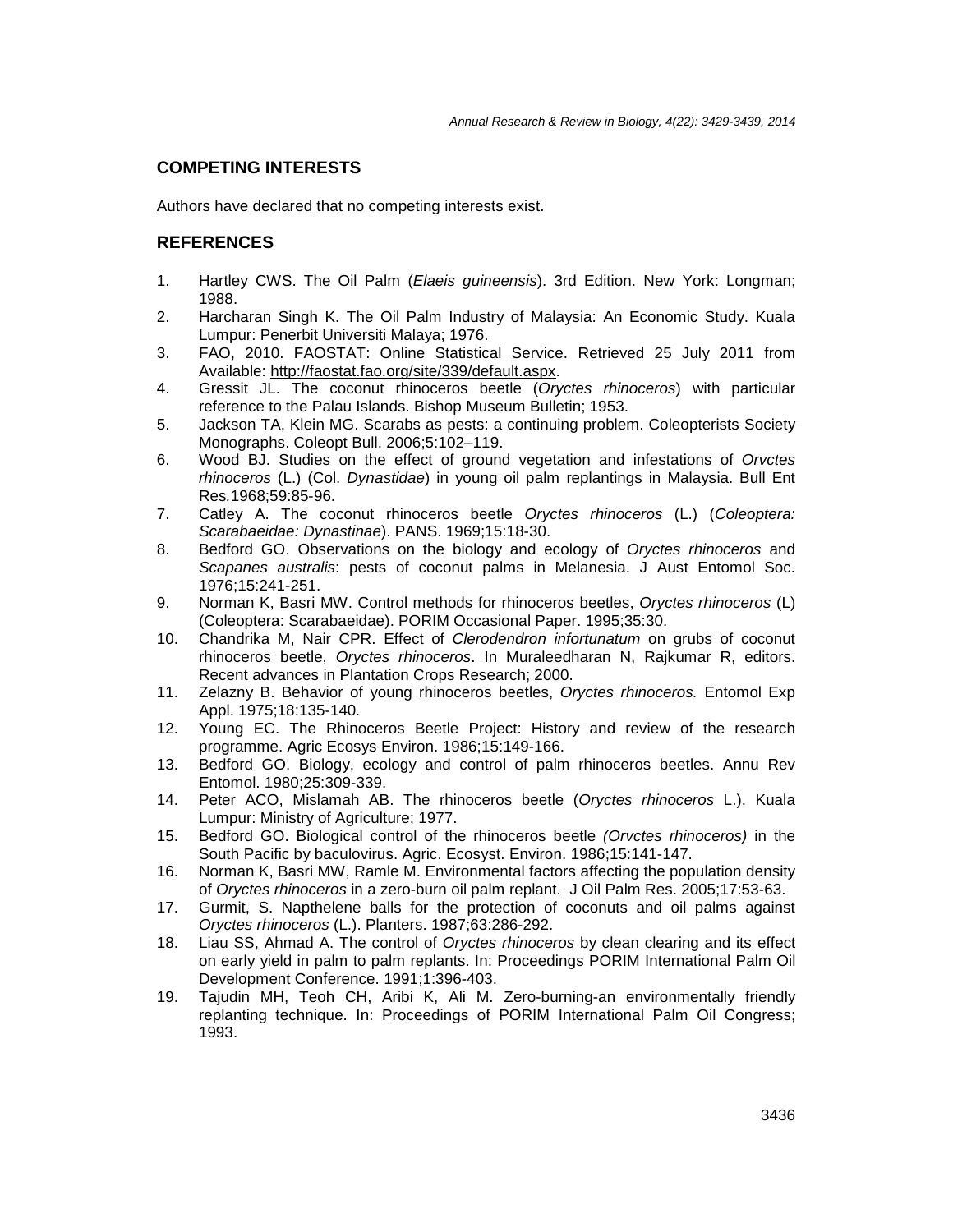## **COMPETING INTERESTS**

Authors have declared that no competing interests exist.

#### **REFERENCES**

- 1. Hartley CWS. The Oil Palm (Elaeis guineensis). 3rd Edition. New York: Longman; 1988.
- 2. Harcharan Singh K. The Oil Palm Industry of Malaysia: An Economic Study. Kuala Lumpur: Penerbit Universiti Malaya; 1976.
- 3. FAO, 2010. FAOSTAT: Online Statistical Service. Retrieved 25 July 2011 from Available: http://faostat.fao.org/site/339/default.aspx.
- 4. Gressit JL. The coconut rhinoceros beetle (Oryctes rhinoceros) with particular reference to the Palau Islands. Bishop Museum Bulletin; 1953.
- 5. Jackson TA, Klein MG. Scarabs as pests: a continuing problem. Coleopterists Society Monographs. Coleopt Bull. 2006;5:102–119.
- 6. Wood BJ. Studies on the effect of ground vegetation and infestations of Orvctes rhinoceros (L.) (Col. Dynastidae) in young oil palm replantings in Malaysia. Bull Ent Res.1968;59:85-96.
- 7. Catley A. The coconut rhinoceros beetle Oryctes rhinoceros (L.) (Coleoptera: Scarabaeidae: Dynastinae). PANS. 1969;15:18-30.
- 8. Bedford GO. Observations on the biology and ecology of Oryctes rhinoceros and Scapanes australis: pests of coconut palms in Melanesia. J Aust Entomol Soc. 1976;15:241-251.
- 9. Norman K, Basri MW. Control methods for rhinoceros beetles, Oryctes rhinoceros (L) (Coleoptera: Scarabaeidae). PORIM Occasional Paper. 1995;35:30.
- 10. Chandrika M, Nair CPR. Effect of Clerodendron infortunatum on grubs of coconut rhinoceros beetle, Oryctes rhinoceros. In Muraleedharan N, Rajkumar R, editors. Recent advances in Plantation Crops Research; 2000.
- 11. Zelazny B. Behavior of young rhinoceros beetles, Oryctes rhinoceros. Entomol Exp Appl. 1975;18:135-140.
- 12. Young EC. The Rhinoceros Beetle Project: History and review of the research programme. Agric Ecosys Environ. 1986;15:149-166.
- 13. Bedford GO. Biology, ecology and control of palm rhinoceros beetles. Annu Rev Entomol. 1980;25:309-339.
- 14. Peter ACO, Mislamah AB. The rhinoceros beetle (Oryctes rhinoceros L.). Kuala Lumpur: Ministry of Agriculture; 1977.
- 15. Bedford GO. Biological control of the rhinoceros beetle (Orvctes rhinoceros) in the South Pacific by baculovirus. Agric. Ecosyst. Environ. 1986;15:141-147.
- 16. Norman K, Basri MW, Ramle M. Environmental factors affecting the population density of Oryctes rhinoceros in a zero-burn oil palm replant. J Oil Palm Res. 2005;17:53-63.
- 17. Gurmit, S. Napthelene balls for the protection of coconuts and oil palms against Oryctes rhinoceros (L.). Planters. 1987;63:286-292.
- 18. Liau SS, Ahmad A. The control of *Oryctes rhinoceros* by clean clearing and its effect on early yield in palm to palm replants. In: Proceedings PORIM International Palm Oil Development Conference. 1991;1:396-403.
- 19. Tajudin MH, Teoh CH, Aribi K, Ali M. Zero-burning-an environmentally friendly replanting technique. In: Proceedings of PORIM International Palm Oil Congress; 1993.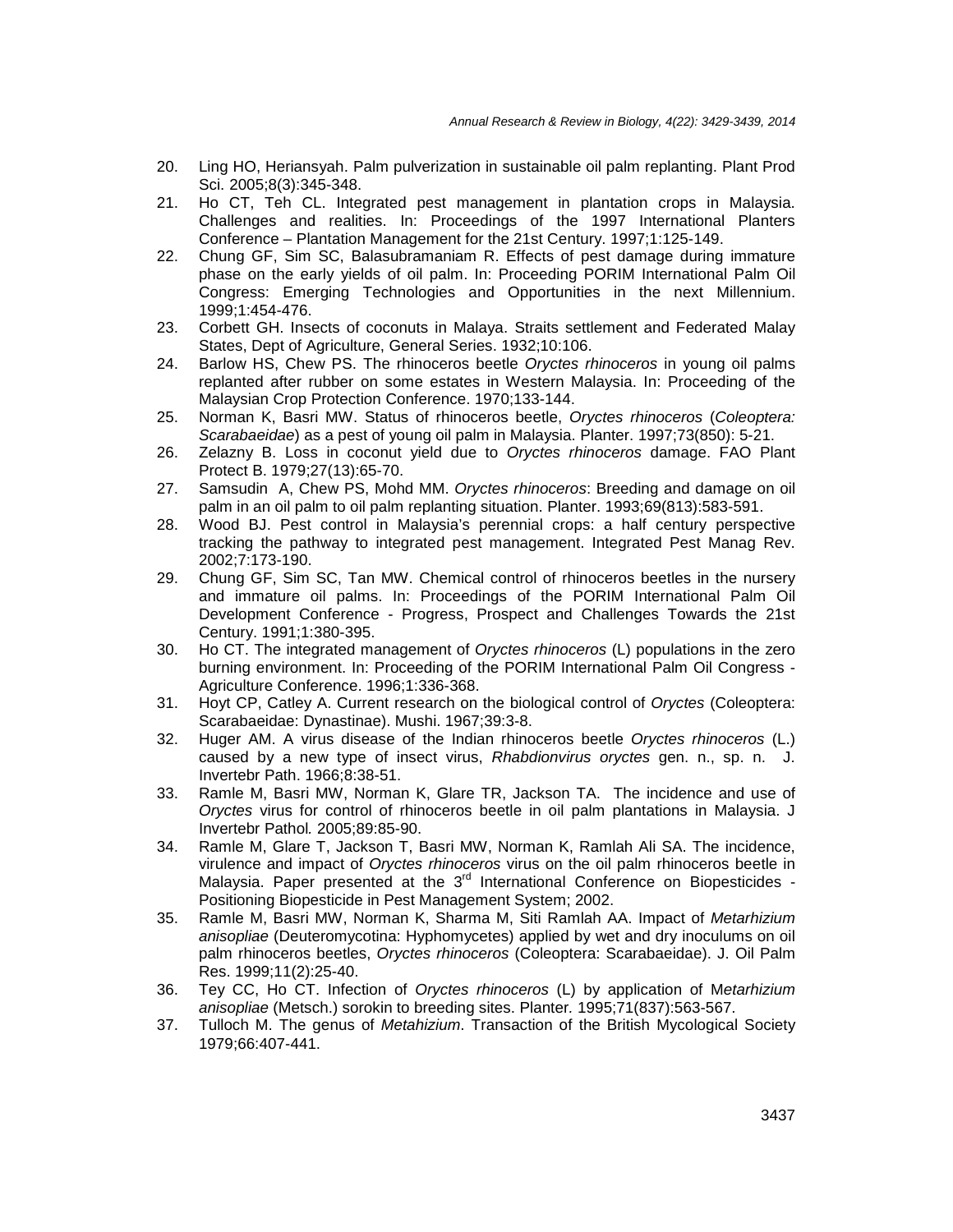- 20. Ling HO, Heriansyah. Palm pulverization in sustainable oil palm replanting. Plant Prod Sci. 2005;8(3):345-348.
- 21. Ho CT, Teh CL. Integrated pest management in plantation crops in Malaysia. Challenges and realities. In: Proceedings of the 1997 International Planters Conference – Plantation Management for the 21st Century. 1997;1:125-149.
- 22. Chung GF, Sim SC, Balasubramaniam R. Effects of pest damage during immature phase on the early yields of oil palm. In: Proceeding PORIM International Palm Oil Congress: Emerging Technologies and Opportunities in the next Millennium. 1999;1:454-476.
- 23. Corbett GH. Insects of coconuts in Malaya. Straits settlement and Federated Malay States, Dept of Agriculture, General Series. 1932;10:106.
- 24. Barlow HS, Chew PS. The rhinoceros beetle Oryctes rhinoceros in young oil palms replanted after rubber on some estates in Western Malaysia. In: Proceeding of the Malaysian Crop Protection Conference. 1970;133-144.
- 25. Norman K, Basri MW. Status of rhinoceros beetle, Oryctes rhinoceros (Coleoptera: Scarabaeidae) as a pest of young oil palm in Malaysia. Planter. 1997;73(850): 5-21.
- 26. Zelazny B. Loss in coconut yield due to Oryctes rhinoceros damage. FAO Plant Protect B. 1979;27(13):65-70.
- 27. Samsudin A, Chew PS, Mohd MM. Oryctes rhinoceros: Breeding and damage on oil palm in an oil palm to oil palm replanting situation. Planter. 1993;69(813):583-591.
- 28. Wood BJ. Pest control in Malaysia's perennial crops: a half century perspective tracking the pathway to integrated pest management. Integrated Pest Manag Rev. 2002;7:173-190.
- 29. Chung GF, Sim SC, Tan MW. Chemical control of rhinoceros beetles in the nursery and immature oil palms. In: Proceedings of the PORIM International Palm Oil Development Conference - Progress, Prospect and Challenges Towards the 21st Century. 1991;1:380-395.
- 30. Ho CT. The integrated management of Oryctes rhinoceros (L) populations in the zero burning environment. In: Proceeding of the PORIM International Palm Oil Congress - Agriculture Conference. 1996;1:336-368.
- 31. Hoyt CP, Catley A. Current research on the biological control of Oryctes (Coleoptera: Scarabaeidae: Dynastinae). Mushi. 1967;39:3-8.
- 32. Huger AM. A virus disease of the Indian rhinoceros beetle Oryctes rhinoceros (L.) caused by a new type of insect virus, Rhabdionvirus oryctes gen. n., sp. n. J. Invertebr Path. 1966;8:38-51.
- 33. Ramle M, Basri MW, Norman K, Glare TR, Jackson TA. The incidence and use of Oryctes virus for control of rhinoceros beetle in oil palm plantations in Malaysia. J Invertebr Pathol. 2005;89:85-90.
- 34. Ramle M, Glare T, Jackson T, Basri MW, Norman K, Ramlah Ali SA. The incidence, virulence and impact of Oryctes rhinoceros virus on the oil palm rhinoceros beetle in Malaysia. Paper presented at the 3<sup>rd</sup> International Conference on Biopesticides -Positioning Biopesticide in Pest Management System; 2002.
- 35. Ramle M, Basri MW, Norman K, Sharma M, Siti Ramlah AA. Impact of Metarhizium anisopliae (Deuteromycotina: Hyphomycetes) applied by wet and dry inoculums on oil palm rhinoceros beetles, Oryctes rhinoceros (Coleoptera: Scarabaeidae). J. Oil Palm Res. 1999;11(2):25-40.
- 36. Tey CC, Ho CT. Infection of Oryctes rhinoceros (L) by application of Metarhizium anisopliae (Metsch.) sorokin to breeding sites. Planter. 1995;71(837):563-567.
- 37. Tulloch M. The genus of *Metahizium*. Transaction of the British Mycological Society 1979;66:407-441.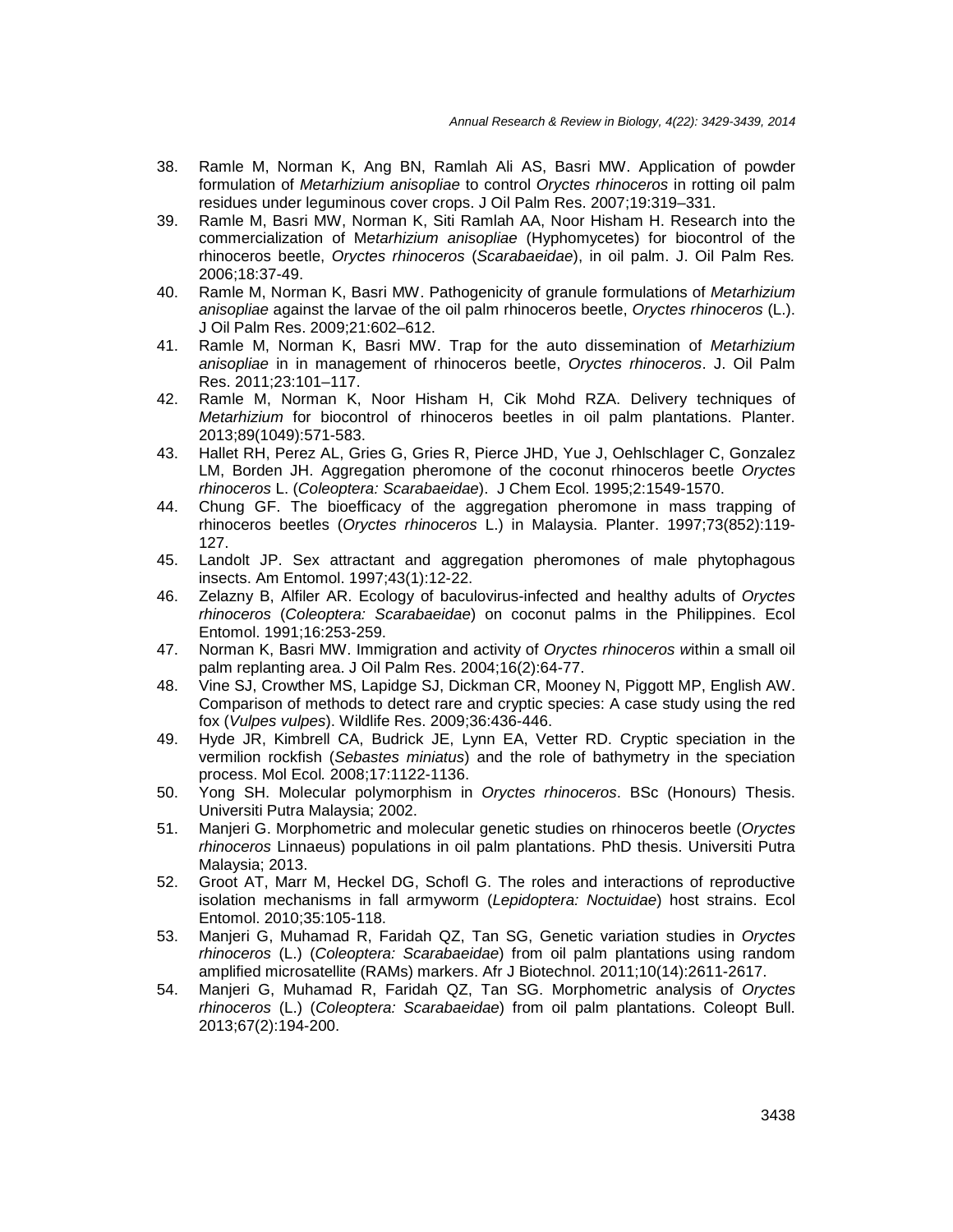- 38. Ramle M, Norman K, Ang BN, Ramlah Ali AS, Basri MW. Application of powder formulation of Metarhizium anisopliae to control Oryctes rhinoceros in rotting oil palm residues under leguminous cover crops. J Oil Palm Res. 2007;19:319–331.
- 39. Ramle M, Basri MW, Norman K, Siti Ramlah AA, Noor Hisham H. Research into the commercialization of Metarhizium anisopliae (Hyphomycetes) for biocontrol of the rhinoceros beetle, Oryctes rhinoceros (Scarabaeidae), in oil palm. J. Oil Palm Res. 2006;18:37-49.
- 40. Ramle M, Norman K, Basri MW. Pathogenicity of granule formulations of Metarhizium anisopliae against the larvae of the oil palm rhinoceros beetle, Oryctes rhinoceros (L.). J Oil Palm Res. 2009;21:602–612.
- 41. Ramle M, Norman K, Basri MW. Trap for the auto dissemination of Metarhizium anisopliae in in management of rhinoceros beetle, Oryctes rhinoceros. J. Oil Palm Res. 2011;23:101–117.
- 42. Ramle M, Norman K, Noor Hisham H, Cik Mohd RZA. Delivery techniques of Metarhizium for biocontrol of rhinoceros beetles in oil palm plantations. Planter. 2013;89(1049):571-583.
- 43. Hallet RH, Perez AL, Gries G, Gries R, Pierce JHD, Yue J, Oehlschlager C, Gonzalez LM, Borden JH. Aggregation pheromone of the coconut rhinoceros beetle Oryctes rhinoceros L. (Coleoptera: Scarabaeidae). J Chem Ecol. 1995;2:1549-1570.
- 44. Chung GF. The bioefficacy of the aggregation pheromone in mass trapping of rhinoceros beetles (Oryctes rhinoceros L.) in Malaysia. Planter. 1997;73(852):119- 127.
- 45. Landolt JP. Sex attractant and aggregation pheromones of male phytophagous insects. Am Entomol. 1997;43(1):12-22.
- 46. Zelazny B, Alfiler AR. Ecology of baculovirus-infected and healthy adults of Oryctes rhinoceros (Coleoptera: Scarabaeidae) on coconut palms in the Philippines. Ecol Entomol. 1991;16:253-259.
- 47. Norman K, Basri MW. Immigration and activity of Oryctes rhinoceros within a small oil palm replanting area. J Oil Palm Res. 2004;16(2):64-77.
- 48. Vine SJ, Crowther MS, Lapidge SJ, Dickman CR, Mooney N, Piggott MP, English AW. Comparison of methods to detect rare and cryptic species: A case study using the red fox (Vulpes vulpes). Wildlife Res. 2009;36:436-446.
- 49. Hyde JR, Kimbrell CA, Budrick JE, Lynn EA, Vetter RD. Cryptic speciation in the vermilion rockfish (Sebastes miniatus) and the role of bathymetry in the speciation process. Mol Ecol. 2008;17:1122-1136.
- 50. Yong SH. Molecular polymorphism in Oryctes rhinoceros. BSc (Honours) Thesis. Universiti Putra Malaysia; 2002.
- 51. Manjeri G. Morphometric and molecular genetic studies on rhinoceros beetle (Oryctes rhinoceros Linnaeus) populations in oil palm plantations. PhD thesis. Universiti Putra Malaysia; 2013.
- 52. Groot AT, Marr M, Heckel DG, Schofl G. The roles and interactions of reproductive isolation mechanisms in fall armyworm (Lepidoptera: Noctuidae) host strains. Ecol Entomol. 2010;35:105-118.
- 53. Manjeri G, Muhamad R, Faridah QZ, Tan SG, Genetic variation studies in Oryctes rhinoceros (L.) (Coleoptera: Scarabaeidae) from oil palm plantations using random amplified microsatellite (RAMs) markers. Afr J Biotechnol. 2011;10(14):2611-2617.
- 54. Manjeri G, Muhamad R, Faridah QZ, Tan SG. Morphometric analysis of Oryctes rhinoceros (L.) (Coleoptera: Scarabaeidae) from oil palm plantations. Coleopt Bull. 2013;67(2):194-200.